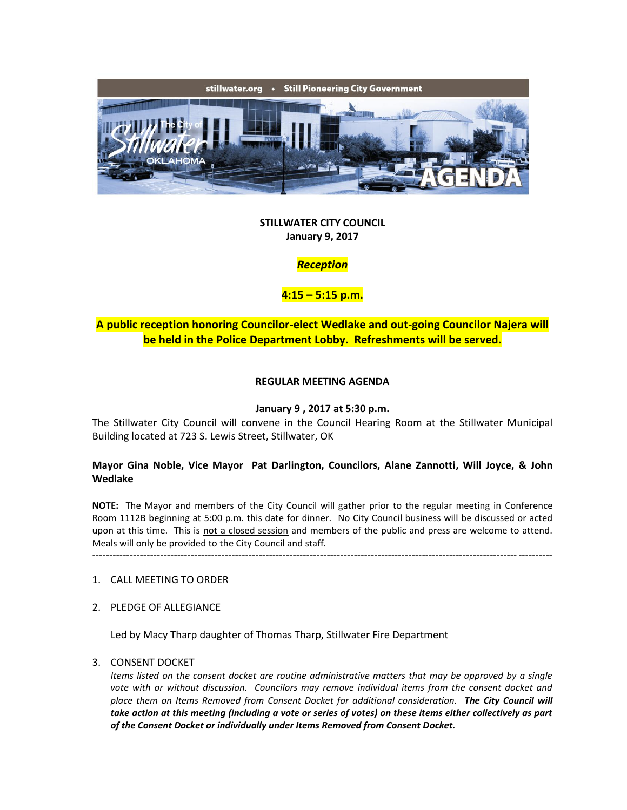

### **STILLWATER CITY COUNCIL January 9, 2017**

## *Reception*

## **4:15 – 5:15 p.m.**

## **A public reception honoring Councilor-elect Wedlake and out-going Councilor Najera will be held in the Police Department Lobby. Refreshments will be served.**

### **REGULAR MEETING AGENDA**

#### **January 9 , 2017 at 5:30 p.m.**

The Stillwater City Council will convene in the Council Hearing Room at the Stillwater Municipal Building located at 723 S. Lewis Street, Stillwater, OK

### **Mayor Gina Noble, Vice Mayor Pat Darlington, Councilors, Alane Zannotti, Will Joyce, & John Wedlake**

**NOTE:** The Mayor and members of the City Council will gather prior to the regular meeting in Conference Room 1112B beginning at 5:00 p.m. this date for dinner. No City Council business will be discussed or acted upon at this time. This is not a closed session and members of the public and press are welcome to attend. Meals will only be provided to the City Council and staff.

---------------------------------------------------------------------------------------------------------------------------------------

#### 1. CALL MEETING TO ORDER

2. PLEDGE OF ALLEGIANCE

Led by Macy Tharp daughter of Thomas Tharp, Stillwater Fire Department

#### 3. CONSENT DOCKET

*Items listed on the consent docket are routine administrative matters that may be approved by a single vote with or without discussion. Councilors may remove individual items from the consent docket and place them on Items Removed from Consent Docket for additional consideration. The City Council will take action at this meeting (including a vote or series of votes) on these items either collectively as part of the Consent Docket or individually under Items Removed from Consent Docket.*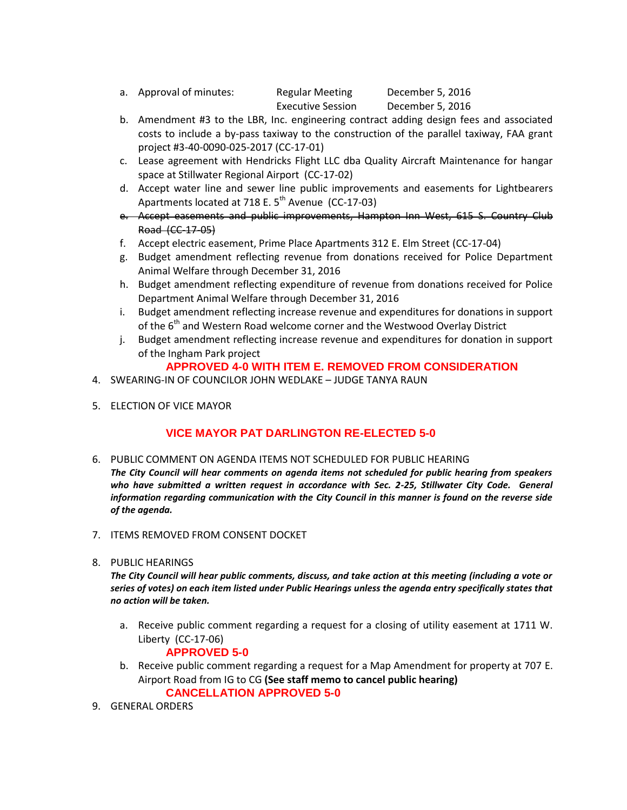- a. Approval of minutes: Regular Meeting December 5, 2016 Executive Session December 5, 2016
- b. Amendment #3 to the LBR, Inc. engineering contract adding design fees and associated costs to include a by-pass taxiway to the construction of the parallel taxiway, FAA grant project #3-40-0090-025-2017 (CC-17-01)
- c. Lease agreement with Hendricks Flight LLC dba Quality Aircraft Maintenance for hangar space at Stillwater Regional Airport (CC-17-02)
- d. Accept water line and sewer line public improvements and easements for Lightbearers Apartments located at 718 E.  $5<sup>th</sup>$  Avenue (CC-17-03)
- e. Accept easements and public improvements, Hampton Inn West, 615 S. Country Club Road (CC-17-05)
- f. Accept electric easement, Prime Place Apartments 312 E. Elm Street (CC-17-04)
- g. Budget amendment reflecting revenue from donations received for Police Department Animal Welfare through December 31, 2016
- h. Budget amendment reflecting expenditure of revenue from donations received for Police Department Animal Welfare through December 31, 2016
- i. Budget amendment reflecting increase revenue and expenditures for donations in support of the 6<sup>th</sup> and Western Road welcome corner and the Westwood Overlay District
- j. Budget amendment reflecting increase revenue and expenditures for donation in support of the Ingham Park project

## **APPROVED 4-0 WITH ITEM E. REMOVED FROM CONSIDERATION**

- 4. SWEARING-IN OF COUNCILOR JOHN WEDLAKE JUDGE TANYA RAUN
- 5. ELECTION OF VICE MAYOR

# **VICE MAYOR PAT DARLINGTON RE-ELECTED 5-0**

- 6. PUBLIC COMMENT ON AGENDA ITEMS NOT SCHEDULED FOR PUBLIC HEARING
- *The City Council will hear comments on agenda items not scheduled for public hearing from speakers*  who have submitted a written request in accordance with Sec. 2-25, Stillwater City Code. General *information regarding communication with the City Council in this manner is found on the reverse side of the agenda.*
- 7. ITEMS REMOVED FROM CONSENT DOCKET
- 8. PUBLIC HEARINGS

*The City Council will hear public comments, discuss, and take action at this meeting (including a vote or series of votes) on each item listed under Public Hearings unless the agenda entry specifically states that no action will be taken.*

- a. Receive public comment regarding a request for a closing of utility easement at 1711 W. Liberty (CC-17-06)
	- **APPROVED 5-0**
- b. Receive public comment regarding a request for a Map Amendment for property at 707 E. Airport Road from IG to CG **(See staff memo to cancel public hearing) CANCELLATION APPROVED 5-0**
- 9. GENERAL ORDERS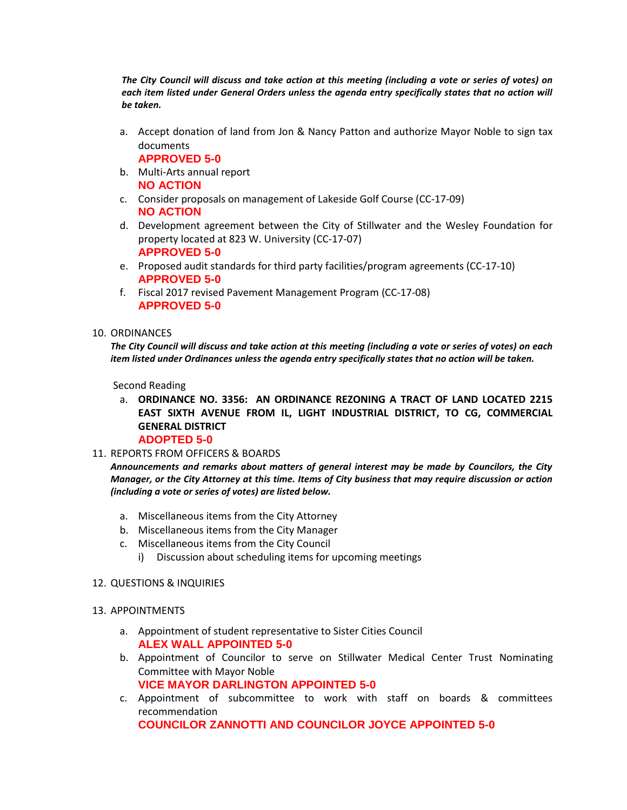*The City Council will discuss and take action at this meeting (including a vote or series of votes) on*  each item listed under General Orders unless the agenda entry specifically states that no action will *be taken.*

a. Accept donation of land from Jon & Nancy Patton and authorize Mayor Noble to sign tax documents

**APPROVED 5-0**

- b. Multi-Arts annual report **NO ACTION**
- c. Consider proposals on management of Lakeside Golf Course (CC-17-09) **NO ACTION**
- d. Development agreement between the City of Stillwater and the Wesley Foundation for property located at 823 W. University (CC-17-07) **APPROVED 5-0**
- e. Proposed audit standards for third party facilities/program agreements (CC-17-10) **APPROVED 5-0**
- f. Fiscal 2017 revised Pavement Management Program (CC-17-08) **APPROVED 5-0**

#### 10. ORDINANCES

*The City Council will discuss and take action at this meeting (including a vote or series of votes) on each item listed under Ordinances unless the agenda entry specifically states that no action will be taken.*

Second Reading

- a. **ORDINANCE NO. 3356: AN ORDINANCE REZONING A TRACT OF LAND LOCATED 2215 EAST SIXTH AVENUE FROM IL, LIGHT INDUSTRIAL DISTRICT, TO CG, COMMERCIAL GENERAL DISTRICT ADOPTED 5-0**
- 11. REPORTS FROM OFFICERS & BOARDS

- a. Miscellaneous items from the City Attorney
- b. Miscellaneous items from the City Manager
- c. Miscellaneous items from the City Council
	- i) Discussion about scheduling items for upcoming meetings
- 12. QUESTIONS & INQUIRIES
- 13. APPOINTMENTS
	- a. Appointment of student representative to Sister Cities Council **ALEX WALL APPOINTED 5-0**
	- b. Appointment of Councilor to serve on Stillwater Medical Center Trust Nominating Committee with Mayor Noble **VICE MAYOR DARLINGTON APPOINTED 5-0**
	- c. Appointment of subcommittee to work with staff on boards & committees recommendation **COUNCILOR ZANNOTTI AND COUNCILOR JOYCE APPOINTED 5-0**

*Announcements and remarks about matters of general interest may be made by Councilors, the City Manager, or the City Attorney at this time. Items of City business that may require discussion or action (including a vote or series of votes) are listed below.*